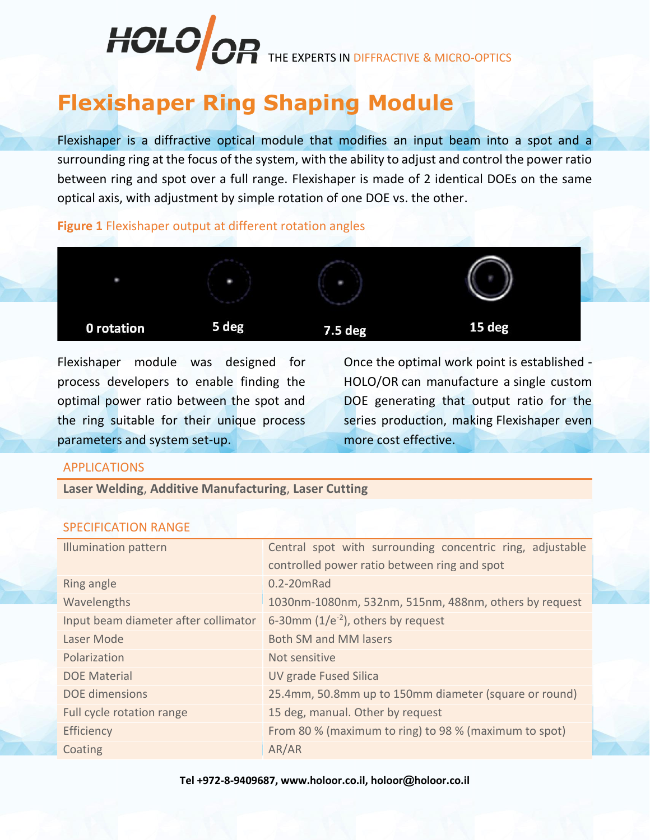## HOLO OR THE EXPERTS IN DIFFRACTIVE & MICRO-OPTICS

## **Flexishaper Ring Shaping Module**

Flexishaper is a diffractive optical module that modifies an input beam into a spot and a surrounding ring at the focus of the system, with the ability to adjust and control the power ratio between ring and spot over a full range. Flexishaper is made of 2 identical DOEs on the same optical axis, with adjustment by simple rotation of one DOE vs. the other.

**Figure 1** Flexishaper output at different rotation angles



Flexishaper module was designed for process developers to enable finding the optimal power ratio between the spot and the ring suitable for their unique process parameters and system set-up.

Once the optimal work point is established - HOLO/OR can manufacture a single custom DOE generating that output ratio for the series production, making Flexishaper even more cost effective.

## APPLICATIONS

**Laser Welding**, **Additive Manufacturing**, **Laser Cutting**

## SPECIFICATION RANGE

| <b>Illumination pattern</b>          | Central spot with surrounding concentric ring, adjustable |
|--------------------------------------|-----------------------------------------------------------|
|                                      | controlled power ratio between ring and spot              |
| Ring angle                           | 0.2-20mRad                                                |
| Wavelengths                          | 1030nm-1080nm, 532nm, 515nm, 488nm, others by request     |
| Input beam diameter after collimator | 6-30 $mm$ (1/e <sup>-2</sup> ), others by request         |
| Laser Mode                           | <b>Both SM and MM lasers</b>                              |
| Polarization                         | Not sensitive                                             |
| <b>DOE Material</b>                  | <b>UV grade Fused Silica</b>                              |
| <b>DOE</b> dimensions                | 25.4mm, 50.8mm up to 150mm diameter (square or round)     |
| Full cycle rotation range            | 15 deg, manual. Other by request                          |
| Efficiency                           | From 80 % (maximum to ring) to 98 % (maximum to spot)     |
| Coating                              | AR/AR                                                     |

**Tel +972-8-9409687, www.holoor.co.il, holoor@holoor.co.il**